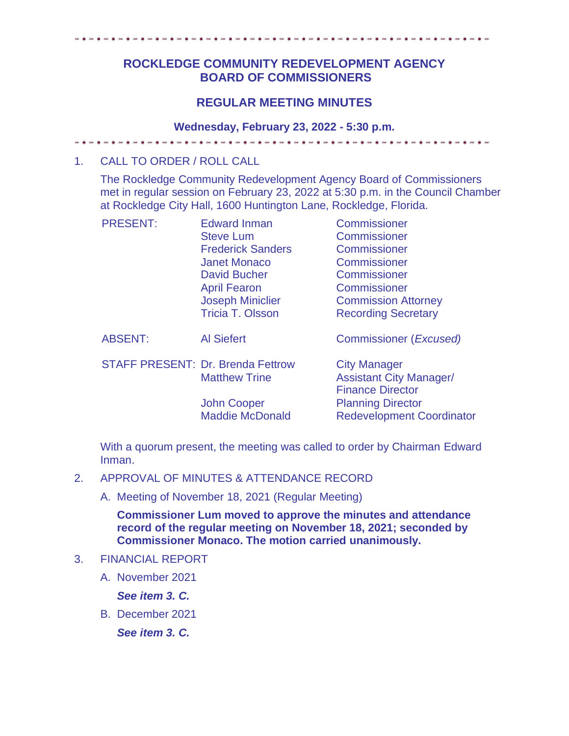# **ROCKLEDGE COMMUNITY REDEVELOPMENT AGENCY BOARD OF COMMISSIONERS**

### **REGULAR MEETING MINUTES**

#### **Wednesday, February 23, 2022 - 5:30 p.m.**

# .<br>من ها من ها من ها من ها من ها من ها من

### 1. CALL TO ORDER / ROLL CALL

The Rockledge Community Redevelopment Agency Board of Commissioners met in regular session on February 23, 2022 at 5:30 p.m. in the Council Chamber at Rockledge City Hall, 1600 Huntington Lane, Rockledge, Florida.

| <b>PRESENT:</b> | <b>Edward Inman</b>                      | Commissioner                     |
|-----------------|------------------------------------------|----------------------------------|
|                 | <b>Steve Lum</b>                         | Commissioner                     |
|                 | <b>Frederick Sanders</b>                 | Commissioner                     |
|                 | <b>Janet Monaco</b>                      | <b>Commissioner</b>              |
|                 | <b>David Bucher</b>                      | Commissioner                     |
|                 | <b>April Fearon</b>                      | Commissioner                     |
|                 | <b>Joseph Miniclier</b>                  | <b>Commission Attorney</b>       |
|                 | <b>Tricia T. Olsson</b>                  | <b>Recording Secretary</b>       |
| <b>ABSENT:</b>  | <b>Al Siefert</b>                        | <b>Commissioner (Excused)</b>    |
|                 | <b>STAFF PRESENT: Dr. Brenda Fettrow</b> | <b>City Manager</b>              |
|                 | <b>Matthew Trine</b>                     | <b>Assistant City Manager/</b>   |
|                 |                                          | <b>Finance Director</b>          |
|                 | <b>John Cooper</b>                       | <b>Planning Director</b>         |
|                 | <b>Maddie McDonald</b>                   | <b>Redevelopment Coordinator</b> |

With a quorum present, the meeting was called to order by Chairman Edward Inman.

# 2. APPROVAL OF MINUTES & ATTENDANCE RECORD

A. Meeting of November 18, 2021 (Regular Meeting)

**Commissioner Lum moved to approve the minutes and attendance record of the regular meeting on November 18, 2021; seconded by Commissioner Monaco. The motion carried unanimously.** 

- 3. FINANCIAL REPORT
	- A. November 2021

*See item 3. C.* 

B. December 2021

*See item 3. C.*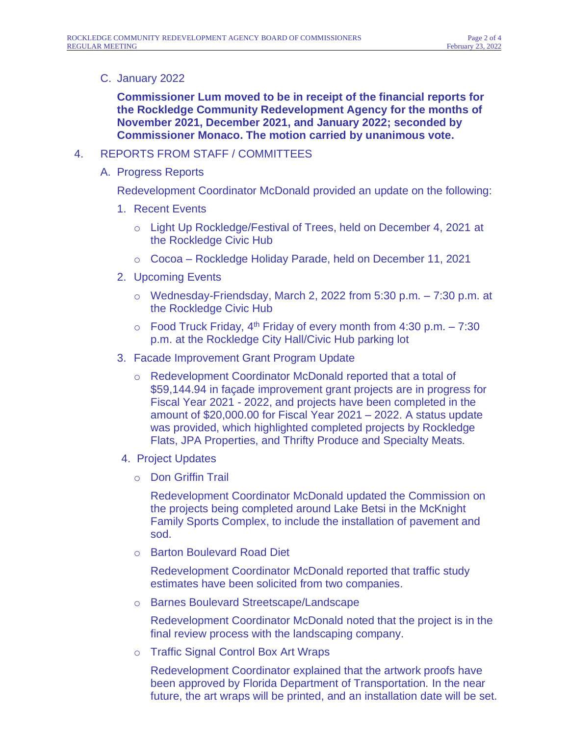C. January 2022

**Commissioner Lum moved to be in receipt of the financial reports for the Rockledge Community Redevelopment Agency for the months of November 2021, December 2021, and January 2022; seconded by Commissioner Monaco. The motion carried by unanimous vote.**

### 4. REPORTS FROM STAFF / COMMITTEES

A. Progress Reports

Redevelopment Coordinator McDonald provided an update on the following:

- 1. Recent Events
	- o Light Up Rockledge/Festival of Trees, held on December 4, 2021 at the Rockledge Civic Hub
	- o Cocoa Rockledge Holiday Parade, held on December 11, 2021
- 2. Upcoming Events
	- $\circ$  Wednesday-Friendsday, March 2, 2022 from 5:30 p.m.  $-7:30$  p.m. at the Rockledge Civic Hub
	- $\circ$  Food Truck Friday, 4<sup>th</sup> Friday of every month from 4:30 p.m. 7:30 p.m. at the Rockledge City Hall/Civic Hub parking lot
- 3. Facade Improvement Grant Program Update
	- o Redevelopment Coordinator McDonald reported that a total of \$59,144.94 in façade improvement grant projects are in progress for Fiscal Year 2021 - 2022, and projects have been completed in the amount of \$20,000.00 for Fiscal Year 2021 – 2022. A status update was provided, which highlighted completed projects by Rockledge Flats, JPA Properties, and Thrifty Produce and Specialty Meats.
- 4. Project Updates
	- o Don Griffin Trail

Redevelopment Coordinator McDonald updated the Commission on the projects being completed around Lake Betsi in the McKnight Family Sports Complex, to include the installation of pavement and sod.

o Barton Boulevard Road Diet

Redevelopment Coordinator McDonald reported that traffic study estimates have been solicited from two companies.

o Barnes Boulevard Streetscape/Landscape

Redevelopment Coordinator McDonald noted that the project is in the final review process with the landscaping company.

o Traffic Signal Control Box Art Wraps

Redevelopment Coordinator explained that the artwork proofs have been approved by Florida Department of Transportation. In the near future, the art wraps will be printed, and an installation date will be set.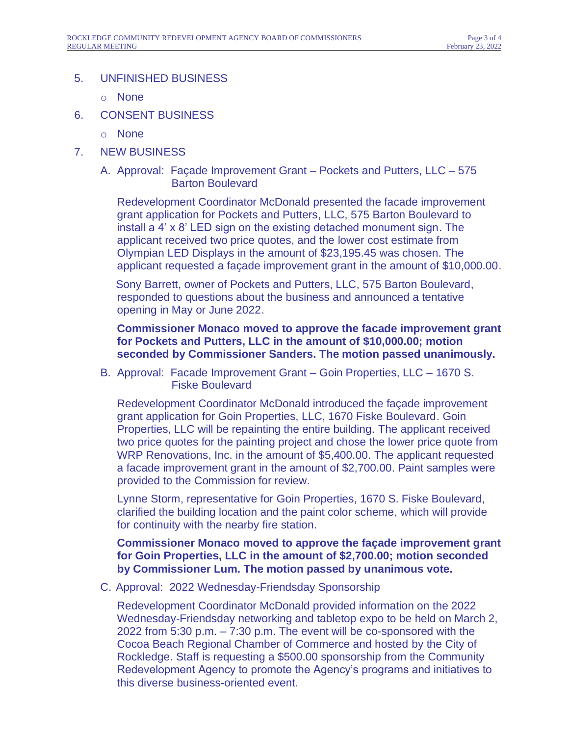### 5. UNFINISHED BUSINESS

- o None
- 6. CONSENT BUSINESS
	- o None
- 7. NEW BUSINESS
	- A. Approval: Façade Improvement Grant Pockets and Putters, LLC 575 Barton Boulevard

Redevelopment Coordinator McDonald presented the facade improvement grant application for Pockets and Putters, LLC, 575 Barton Boulevard to install a 4' x 8' LED sign on the existing detached monument sign. The applicant received two price quotes, and the lower cost estimate from Olympian LED Displays in the amount of \$23,195.45 was chosen. The applicant requested a façade improvement grant in the amount of \$10,000.00.

Sony Barrett, owner of Pockets and Putters, LLC, 575 Barton Boulevard, responded to questions about the business and announced a tentative opening in May or June 2022.

#### **Commissioner Monaco moved to approve the facade improvement grant for Pockets and Putters, LLC in the amount of \$10,000.00; motion seconded by Commissioner Sanders. The motion passed unanimously.**

B. Approval: Facade Improvement Grant – Goin Properties, LLC – 1670 S. Fiske Boulevard

Redevelopment Coordinator McDonald introduced the façade improvement grant application for Goin Properties, LLC, 1670 Fiske Boulevard. Goin Properties, LLC will be repainting the entire building. The applicant received two price quotes for the painting project and chose the lower price quote from WRP Renovations, Inc. in the amount of \$5,400.00. The applicant requested a facade improvement grant in the amount of \$2,700.00. Paint samples were provided to the Commission for review.

Lynne Storm, representative for Goin Properties, 1670 S. Fiske Boulevard, clarified the building location and the paint color scheme, which will provide for continuity with the nearby fire station.

### **Commissioner Monaco moved to approve the façade improvement grant for Goin Properties, LLC in the amount of \$2,700.00; motion seconded by Commissioner Lum. The motion passed by unanimous vote.**

C. Approval: 2022 Wednesday-Friendsday Sponsorship

Redevelopment Coordinator McDonald provided information on the 2022 Wednesday-Friendsday networking and tabletop expo to be held on March 2, 2022 from 5:30 p.m. – 7:30 p.m. The event will be co-sponsored with the Cocoa Beach Regional Chamber of Commerce and hosted by the City of Rockledge. Staff is requesting a \$500.00 sponsorship from the Community Redevelopment Agency to promote the Agency's programs and initiatives to this diverse business-oriented event.